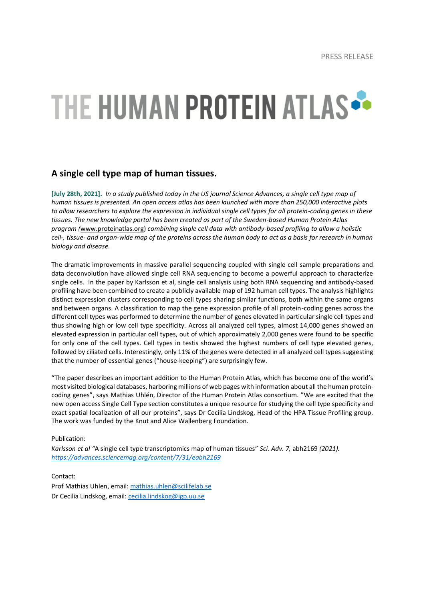## THE HUMAN PROTEIN ATLAS ..

## **A single cell type map of human tissues.**

**[July 28th, 2021].** *In a study published today in the US journal Science Advances, a single cell type map of human tissues is presented. An open access atlas has been launched with more than 250,000 interactive plots to allow researchers to explore the expression in individual single cell types for all protein-coding genes in these tissues. The new knowledge portal has been created as part of the Sweden-based Human Protein Atlas program (*[www.proteinatlas.org\)](http://www.proteinatlas.org/) *combining single cell data with antibody-based profiling to allow a holistic cell-, tissue- and organ-wide map of the proteins across the human body to act as a basis for research in human biology and disease.* 

The dramatic improvements in massive parallel sequencing coupled with single cell sample preparations and data deconvolution have allowed single cell RNA sequencing to become a powerful approach to characterize single cells. In the paper by Karlsson et al, single cell analysis using both RNA sequencing and antibody-based profiling have been combined to create a publicly available map of 192 human cell types. The analysis highlights distinct expression clusters corresponding to cell types sharing similar functions, both within the same organs and between organs. A classification to map the gene expression profile of all protein-coding genes across the different cell types was performed to determine the number of genes elevated in particular single cell types and thus showing high or low cell type specificity. Across all analyzed cell types, almost 14,000 genes showed an elevated expression in particular cell types, out of which approximately 2,000 genes were found to be specific for only one of the cell types. Cell types in testis showed the highest numbers of cell type elevated genes, followed by ciliated cells. Interestingly, only 11% of the genes were detected in all analyzed cell types suggesting that the number of essential genes ("house-keeping") are surprisingly few.

"The paper describes an important addition to the Human Protein Atlas, which has become one of the world's most visited biological databases, harboring millions of web pages with information about all the human proteincoding genes", says Mathias Uhlén, Director of the Human Protein Atlas consortium. "We are excited that the new open access Single Cell Type section constitutes a unique resource for studying the cell type specificity and exact spatial localization of all our proteins", says Dr Cecilia Lindskog, Head of the HPA Tissue Profiling group. The work was funded by the Knut and Alice Wallenberg Foundation.

Publication:

*Karlsson et al "*A single cell type transcriptomics map of human tissues" *Sci. Adv. 7,* abh2169 *(2021). <https://advances.sciencemag.org/content/7/31/eabh2169>*

Contact: Prof Mathias Uhlen, email[: mathias.uhlen@scilifelab.se](mailto:mathias.uhlen@scilifelab.se) Dr Cecilia Lindskog, email: [cecilia.lindskog@igp.uu.se](mailto:cecilia.lindskog@igp.uu.se)